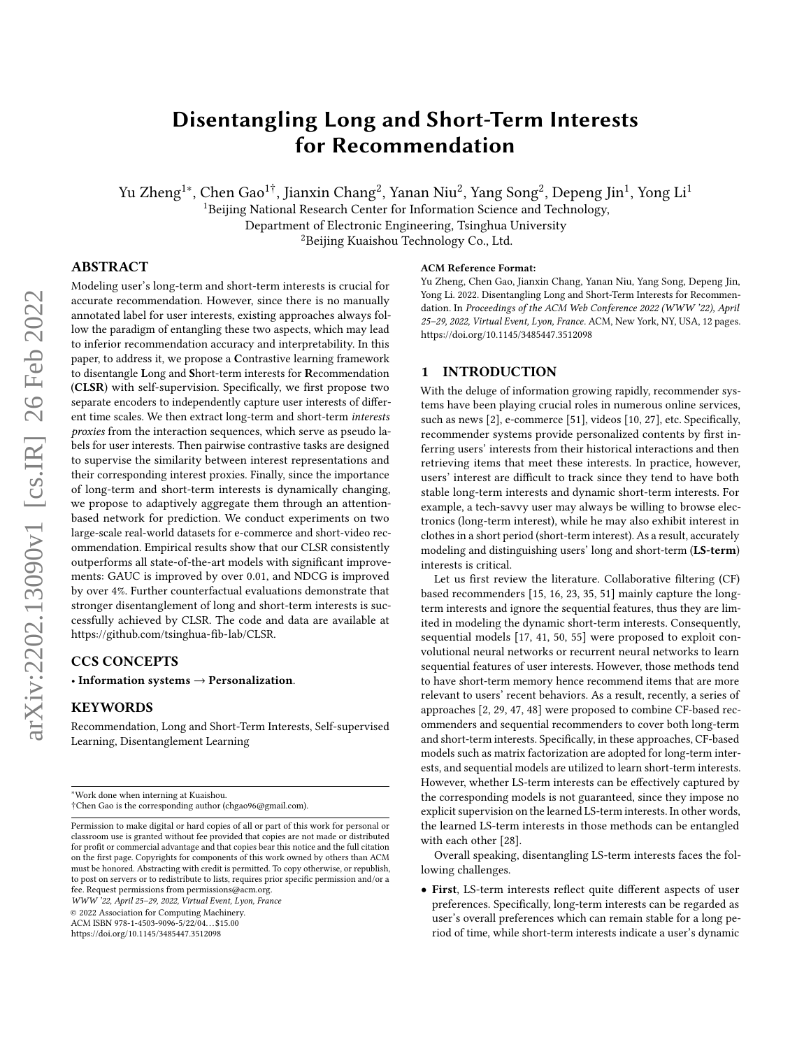# <span id="page-0-0"></span>Disentangling Long and Short-Term Interests for Recommendation

Yu Zheng<sup>1∗</sup>, Chen Gao<sup>1†</sup>, Jianxin Chang<sup>2</sup>, Yanan Niu<sup>2</sup>, Yang Song<sup>2</sup>, Depeng Jin<sup>1</sup>, Yong Li<sup>1</sup>

<sup>1</sup>Beijing National Research Center for Information Science and Technology,

Department of Electronic Engineering, Tsinghua University

<sup>2</sup>Beijing Kuaishou Technology Co., Ltd.

### ABSTRACT

Modeling user's long-term and short-term interests is crucial for accurate recommendation. However, since there is no manually annotated label for user interests, existing approaches always follow the paradigm of entangling these two aspects, which may lead to inferior recommendation accuracy and interpretability. In this paper, to address it, we propose a Contrastive learning framework to disentangle Long and Short-term interests for Recommendation (CLSR) with self-supervision. Specifically, we first propose two separate encoders to independently capture user interests of different time scales. We then extract long-term and short-term interests proxies from the interaction sequences, which serve as pseudo labels for user interests. Then pairwise contrastive tasks are designed to supervise the similarity between interest representations and their corresponding interest proxies. Finally, since the importance of long-term and short-term interests is dynamically changing, we propose to adaptively aggregate them through an attentionbased network for prediction. We conduct experiments on two large-scale real-world datasets for e-commerce and short-video recommendation. Empirical results show that our CLSR consistently outperforms all state-of-the-art models with significant improvements: GAUC is improved by over 0.01, and NDCG is improved by over 4%. Further counterfactual evaluations demonstrate that stronger disentanglement of long and short-term interests is successfully achieved by CLSR. The code and data are available at [https://github.com/tsinghua-fib-lab/CLSR.](https://github.com/tsinghua-fib-lab/CLSR)

### CCS CONCEPTS

• Information systems  $\rightarrow$  Personalization.

# **KEYWORDS**

Recommendation, Long and Short-Term Interests, Self-supervised Learning, Disentanglement Learning

WWW '22, April 25–29, 2022, Virtual Event, Lyon, France

© 2022 Association for Computing Machinery.

ACM ISBN 978-1-4503-9096-5/22/04. . . \$15.00

<https://doi.org/10.1145/3485447.3512098>

#### ACM Reference Format:

Yu Zheng, Chen Gao, Jianxin Chang, Yanan Niu, Yang Song, Depeng Jin, Yong Li. 2022. Disentangling Long and Short-Term Interests for Recommendation. In Proceedings of the ACM Web Conference 2022 (WWW '22), April 25–29, 2022, Virtual Event, Lyon, France. ACM, New York, NY, USA, [12](#page-11-0) pages. <https://doi.org/10.1145/3485447.3512098>

# 1 INTRODUCTION

With the deluge of information growing rapidly, recommender systems have been playing crucial roles in numerous online services, such as news [\[2\]](#page-8-0), e-commerce [\[51\]](#page-9-0), videos [\[10,](#page-8-1) [27\]](#page-8-2), etc. Specifically, recommender systems provide personalized contents by first inferring users' interests from their historical interactions and then retrieving items that meet these interests. In practice, however, users' interest are difficult to track since they tend to have both stable long-term interests and dynamic short-term interests. For example, a tech-savvy user may always be willing to browse electronics (long-term interest), while he may also exhibit interest in clothes in a short period (short-term interest). As a result, accurately modeling and distinguishing users' long and short-term (LS-term) interests is critical.

Let us first review the literature. Collaborative filtering (CF) based recommenders [\[15,](#page-8-3) [16,](#page-8-4) [23,](#page-8-5) [35,](#page-8-6) [51\]](#page-9-0) mainly capture the longterm interests and ignore the sequential features, thus they are limited in modeling the dynamic short-term interests. Consequently, sequential models [\[17,](#page-8-7) [41,](#page-8-8) [50,](#page-9-1) [55\]](#page-9-2) were proposed to exploit convolutional neural networks or recurrent neural networks to learn sequential features of user interests. However, those methods tend to have short-term memory hence recommend items that are more relevant to users' recent behaviors. As a result, recently, a series of approaches [\[2,](#page-8-0) [29,](#page-8-9) [47,](#page-8-10) [48\]](#page-8-11) were proposed to combine CF-based recommenders and sequential recommenders to cover both long-term and short-term interests. Specifically, in these approaches, CF-based models such as matrix factorization are adopted for long-term interests, and sequential models are utilized to learn short-term interests. However, whether LS-term interests can be effectively captured by the corresponding models is not guaranteed, since they impose no explicit supervision on the learned LS-term interests. In other words, the learned LS-term interests in those methods can be entangled with each other [\[28\]](#page-8-12).

Overall speaking, disentangling LS-term interests faces the following challenges.

• First, LS-term interests reflect quite different aspects of user preferences. Specifically, long-term interests can be regarded as user's overall preferences which can remain stable for a long period of time, while short-term interests indicate a user's dynamic

<sup>∗</sup>Work done when interning at Kuaishou.

<sup>†</sup>Chen Gao is the corresponding author (chgao96@gmail.com).

Permission to make digital or hard copies of all or part of this work for personal or classroom use is granted without fee provided that copies are not made or distributed for profit or commercial advantage and that copies bear this notice and the full citation on the first page. Copyrights for components of this work owned by others than ACM must be honored. Abstracting with credit is permitted. To copy otherwise, or republish, to post on servers or to redistribute to lists, requires prior specific permission and/or a fee. Request permissions from permissions@acm.org.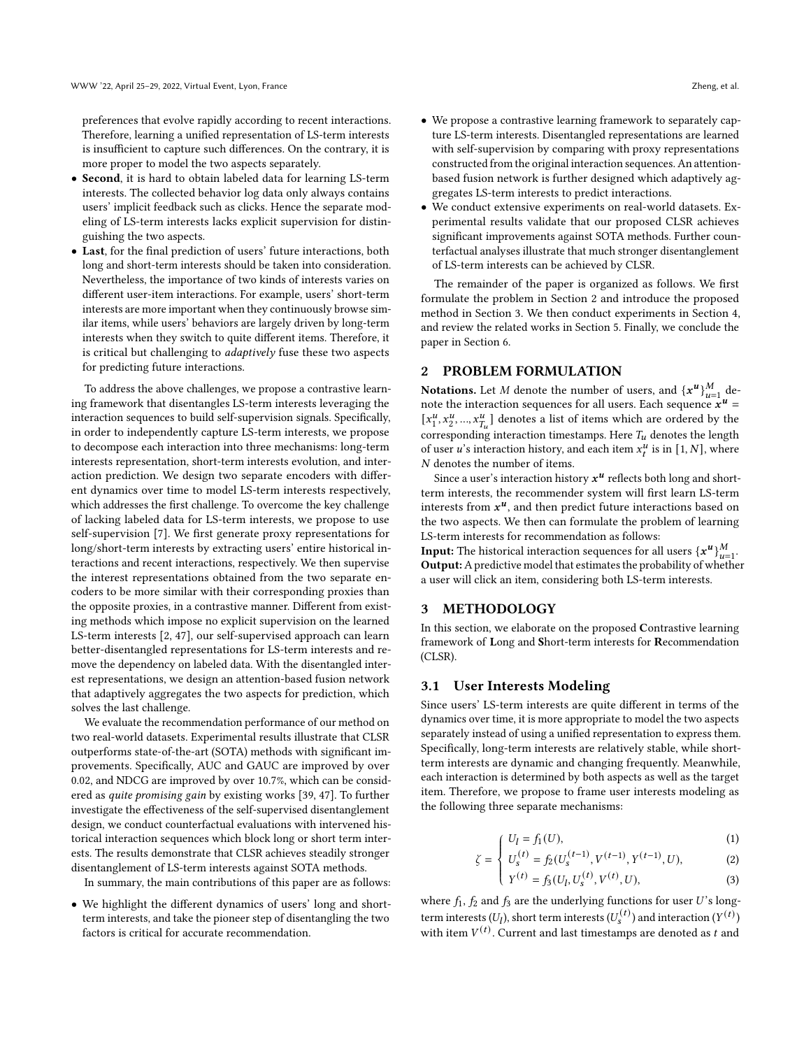preferences that evolve rapidly according to recent interactions. Therefore, learning a unified representation of LS-term interests is insufficient to capture such differences. On the contrary, it is more proper to model the two aspects separately.

- Second, it is hard to obtain labeled data for learning LS-term interests. The collected behavior log data only always contains users' implicit feedback such as clicks. Hence the separate modeling of LS-term interests lacks explicit supervision for distinguishing the two aspects.
- Last, for the final prediction of users' future interactions, both long and short-term interests should be taken into consideration. Nevertheless, the importance of two kinds of interests varies on different user-item interactions. For example, users' short-term interests are more important when they continuously browse similar items, while users' behaviors are largely driven by long-term interests when they switch to quite different items. Therefore, it is critical but challenging to adaptively fuse these two aspects for predicting future interactions.

To address the above challenges, we propose a contrastive learning framework that disentangles LS-term interests leveraging the interaction sequences to build self-supervision signals. Specifically, in order to independently capture LS-term interests, we propose to decompose each interaction into three mechanisms: long-term interests representation, short-term interests evolution, and interaction prediction. We design two separate encoders with different dynamics over time to model LS-term interests respectively, which addresses the first challenge. To overcome the key challenge of lacking labeled data for LS-term interests, we propose to use self-supervision [\[7\]](#page-8-13). We first generate proxy representations for long/short-term interests by extracting users' entire historical interactions and recent interactions, respectively. We then supervise the interest representations obtained from the two separate encoders to be more similar with their corresponding proxies than the opposite proxies, in a contrastive manner. Different from existing methods which impose no explicit supervision on the learned LS-term interests [\[2,](#page-8-0) [47\]](#page-8-10), our self-supervised approach can learn better-disentangled representations for LS-term interests and remove the dependency on labeled data. With the disentangled interest representations, we design an attention-based fusion network that adaptively aggregates the two aspects for prediction, which solves the last challenge.

We evaluate the recommendation performance of our method on two real-world datasets. Experimental results illustrate that CLSR outperforms state-of-the-art (SOTA) methods with significant improvements. Specifically, AUC and GAUC are improved by over 0.02, and NDCG are improved by over 10.7%, which can be considered as quite promising gain by existing works [\[39,](#page-8-14) [47\]](#page-8-10). To further investigate the effectiveness of the self-supervised disentanglement design, we conduct counterfactual evaluations with intervened historical interaction sequences which block long or short term interests. The results demonstrate that CLSR achieves steadily stronger disentanglement of LS-term interests against SOTA methods.

In summary, the main contributions of this paper are as follows:

• We highlight the different dynamics of users' long and shortterm interests, and take the pioneer step of disentangling the two factors is critical for accurate recommendation.

- We propose a contrastive learning framework to separately capture LS-term interests. Disentangled representations are learned with self-supervision by comparing with proxy representations constructed from the original interaction sequences. An attentionbased fusion network is further designed which adaptively aggregates LS-term interests to predict interactions.
- We conduct extensive experiments on real-world datasets. Experimental results validate that our proposed CLSR achieves significant improvements against SOTA methods. Further counterfactual analyses illustrate that much stronger disentanglement of LS-term interests can be achieved by CLSR.

The remainder of the paper is organized as follows. We first formulate the problem in Section [2](#page-1-0) and introduce the proposed method in Section [3.](#page-1-1) We then conduct experiments in Section [4,](#page-4-0) and review the related works in Section [5.](#page-7-0) Finally, we conclude the paper in Section [6.](#page-7-1)

### <span id="page-1-0"></span>2 PROBLEM FORMULATION

**Notations.** Let *M* denote the number of users, and  $\{x^u\}_{u=1}^M$  denote the interaction sequences for all users. Each sequence  $\mathbf{x}^{\boldsymbol{u}-1}$  $\left[x_1^u\right]$  $\frac{u}{1}, x_2^u, ..., x_{T_u}^u$  denotes a list of items which are ordered by the corresponding interaction timestamps. Here  $T_u$  denotes the length of user u's interaction history, and each item  $x_t^u$  is in [1, N], where N denotes the number of items.

Since a user's interaction history  $x^u$  reflects both long and shortterm interests, the recommender system will first learn LS-term interests from  $x^u$ , and then predict future interactions based on the two aspects. We then can formulate the problem of learning LS-term interests for recommendation as follows:

**Input:** The historical interaction sequences for all users  $\{x^u\}_{u=1}^M$ . Output:A predictive model that estimates the probability of whether a user will click an item, considering both LS-term interests.

#### <span id="page-1-1"></span>3 METHODOLOGY

In this section, we elaborate on the proposed Contrastive learning framework of Long and Short-term interests for Recommendation (CLSR).

### 3.1 User Interests Modeling

Since users' LS-term interests are quite different in terms of the dynamics over time, it is more appropriate to model the two aspects separately instead of using a unified representation to express them. Specifically, long-term interests are relatively stable, while shortterm interests are dynamic and changing frequently. Meanwhile, each interaction is determined by both aspects as well as the target item. Therefore, we propose to frame user interests modeling as the following three separate mechanisms:

$$
U_l = f_1(U),\tag{1}
$$

$$
\zeta = \begin{cases}\nU_t - f_1(\zeta), & \text{(1)} \\
U_s^{(t)} = f_2(U_s^{(t-1)}, V^{(t-1)}, Y^{(t-1)}, U), & \text{(2)}\n\end{cases}
$$

$$
\left(Y^{(t)} = f_3(U_l, U_s^{(t)}, V^{(t)}, U),\right)
$$
\n(3)

where  $f_1$ ,  $f_2$  and  $f_3$  are the underlying functions for user U's longterm interests  $(U_l)$ , short term interests  $(U_s^{(t)})$  and interaction  $(Y^{(t)})$ with item  $V^{(t)}$ . Current and last timestamps are denoted as t and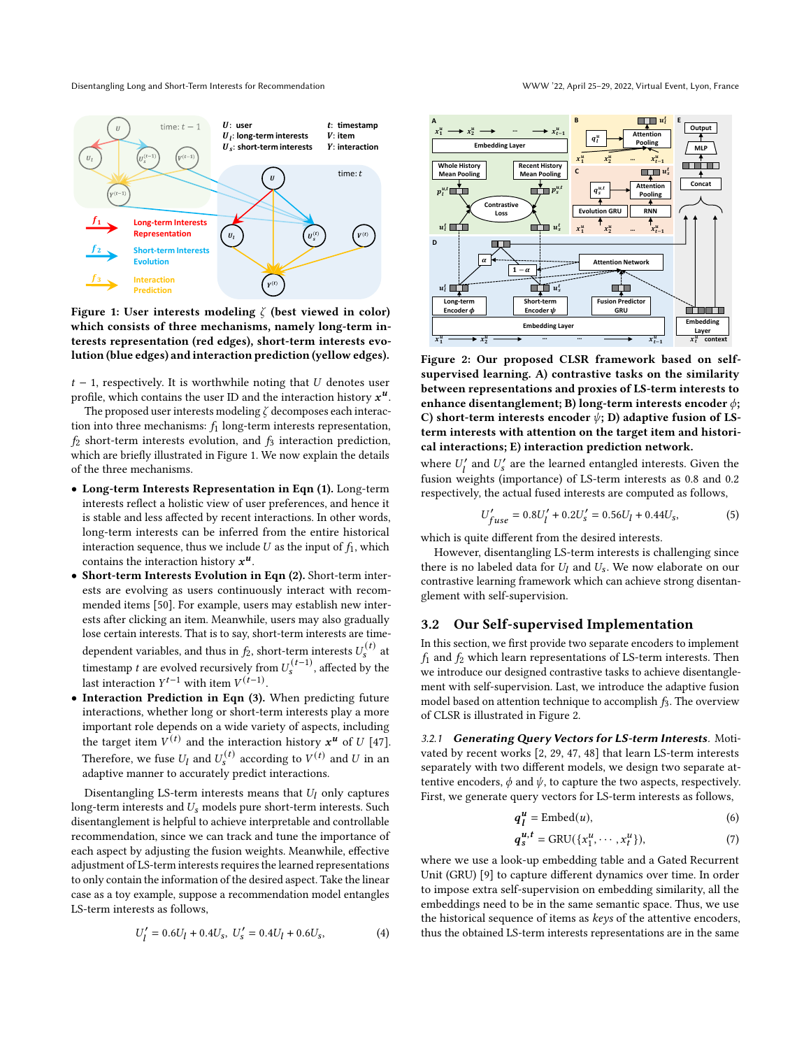<span id="page-2-0"></span>

Figure 1: User interests modeling  $\zeta$  (best viewed in color) which consists of three mechanisms, namely long-term interests representation (red edges), short-term interests evolution (blue edges) and interaction prediction (yellow edges).

 $t - 1$ , respectively. It is worthwhile noting that  $U$  denotes user profile, which contains the user ID and the interaction history  $x^u$ .

The proposed user interests modeling  $\zeta$  decomposes each interaction into three mechanisms:  $f_1$  long-term interests representation,  $f_2$  short-term interests evolution, and  $f_3$  interaction prediction, which are briefly illustrated in Figure [1.](#page-2-0) We now explain the details of the three mechanisms.

- Long-term Interests Representation in Eqn (1). Long-term interests reflect a holistic view of user preferences, and hence it is stable and less affected by recent interactions. In other words, long-term interests can be inferred from the entire historical interaction sequence, thus we include  $U$  as the input of  $f_1$ , which contains the interaction history  $x^u$ .
- Short-term Interests Evolution in Eqn (2). Short-term interests are evolving as users continuously interact with recommended items [\[50\]](#page-9-1). For example, users may establish new interests after clicking an item. Meanwhile, users may also gradually lose certain interests. That is to say, short-term interests are timedependent variables, and thus in  $f_2$ , short-term interests  $U_s^{(t)}$  at timestamp *t* are evolved recursively from  $U_s^{(t-1)}$ , affected by the last interaction  $Y^{t-1}$  with item  $V^{(t-1)}$ .
- Interaction Prediction in Eqn (3). When predicting future interactions, whether long or short-term interests play a more important role depends on a wide variety of aspects, including the target item  $V^{(t)}$  and the interaction history  $x^u$  of U [\[47\]](#page-8-10). Therefore, we fuse  $U_l$  and  $U_s^{(t)}$  according to  $V^{(t)}$  and U in an adaptive manner to accurately predict interactions.

Disentangling LS-term interests means that  $U_l$  only captures long-term interests and  $U_s$  models pure short-term interests. Such disentanglement is helpful to achieve interpretable and controllable recommendation, since we can track and tune the importance of each aspect by adjusting the fusion weights. Meanwhile, effective adjustment of LS-term interests requires the learned representations to only contain the information of the desired aspect. Take the linear case as a toy example, suppose a recommendation model entangles LS-term interests as follows,

$$
U'_l = 0.6U_l + 0.4U_s, \ U'_s = 0.4U_l + 0.6U_s, \tag{4}
$$

<span id="page-2-1"></span>

Figure 2: Our proposed CLSR framework based on selfsupervised learning. A) contrastive tasks on the similarity between representations and proxies of LS-term interests to enhance disentanglement; B) long-term interests encoder  $\phi$ ; C) short-term interests encoder  $\psi$ ; D) adaptive fusion of LSterm interests with attention on the target item and historical interactions; E) interaction prediction network.

where  $U'_l$  and  $U'_s$  are the learned entangled interests. Given the fusion weights (importance) of LS-term interests as 0.8 and 0.2 respectively, the actual fused interests are computed as follows,

$$
U'_{fuse} = 0.8U'_{l} + 0.2U'_{s} = 0.56U_{l} + 0.44U_{s},
$$
\n(5)

which is quite different from the desired interests.

However, disentangling LS-term interests is challenging since there is no labeled data for  $U_l$  and  $U_s$ . We now elaborate on our contrastive learning framework which can achieve strong disentanglement with self-supervision.

### 3.2 Our Self-supervised Implementation

In this section, we first provide two separate encoders to implement  $f_1$  and  $f_2$  which learn representations of LS-term interests. Then we introduce our designed contrastive tasks to achieve disentanglement with self-supervision. Last, we introduce the adaptive fusion model based on attention technique to accomplish  $f_3$ . The overview of CLSR is illustrated in Figure [2.](#page-2-1)

3.2.1 Generating Query Vectors for LS-term Interests. Motivated by recent works [\[2,](#page-8-0) [29,](#page-8-9) [47,](#page-8-10) [48\]](#page-8-11) that learn LS-term interests separately with two different models, we design two separate attentive encoders,  $\phi$  and  $\psi$ , to capture the two aspects, respectively. First, we generate query vectors for LS-term interests as follows,

<span id="page-2-2"></span>
$$
q_l^u = \text{Embed}(u),\tag{6}
$$

$$
q_s^{u,t} = \text{GRU}(\{x_1^u, \cdots, x_t^u\}),\tag{7}
$$

where we use a look-up embedding table and a Gated Recurrent Unit (GRU) [\[9\]](#page-8-15) to capture different dynamics over time. In order to impose extra self-supervision on embedding similarity, all the embeddings need to be in the same semantic space. Thus, we use the historical sequence of items as keys of the attentive encoders, thus the obtained LS-term interests representations are in the same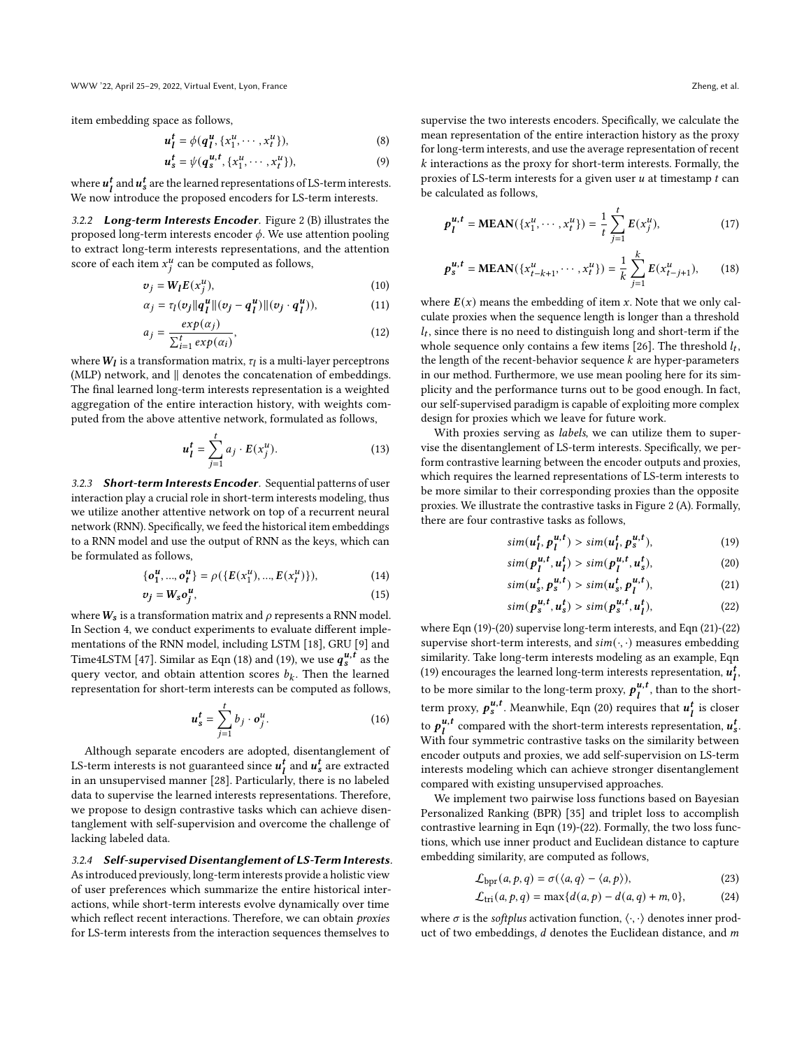item embedding space as follows,

$$
u_l^t = \phi(q_l^u, \{x_1^u, \cdots, x_t^u\}),\tag{8}
$$

$$
u_s^t = \psi(q_s^{u,t}, \{x_1^u, \cdots, x_t^u\}), \tag{9}
$$

where  $u_l^t$  and  $u_s^t$  are the learned representations of LS-term interests. We now introduce the proposed encoders for LS-term interests.

3.2.2 Long-term Interests Encoder. Figure [2](#page-2-1) (B) illustrates the proposed long-term interests encoder  $\phi$ . We use attention pooling to extract long-term interests representations, and the attention score of each item  $x_i^u$  can be computed as follows,

$$
v_j = W_l E(x_j^u),\tag{10}
$$

$$
\alpha_j = \tau_l(v_j||q_l^u||(v_j - q_l^u)||(v_j \cdot q_l^u)), \qquad (11)
$$

$$
a_j = \frac{\exp(\alpha_j)}{\sum_{i=1}^t \exp(\alpha_i)},\tag{12}
$$

where  $\boldsymbol{W}_{\boldsymbol{l}}$  is a transformation matrix,  $\tau_{\boldsymbol{l}}$  is a multi-layer perceptrons (MLP) network, and ∥ denotes the concatenation of embeddings. The final learned long-term interests representation is a weighted aggregation of the entire interaction history, with weights computed from the above attentive network, formulated as follows,

$$
u_I^t = \sum_{j=1}^t a_j \cdot E(x_j^u). \tag{13}
$$

3.2.3 Short-term Interests Encoder. Sequential patterns of user interaction play a crucial role in short-term interests modeling, thus we utilize another attentive network on top of a recurrent neural network (RNN). Specifically, we feed the historical item embeddings to a RNN model and use the output of RNN as the keys, which can be formulated as follows,

$$
\{o_1^u, ..., o_t^u\} = \rho(\{E(x_1^u), ..., E(x_t^u)\}),\tag{14}
$$

$$
v_j = W_s o_j^u,\tag{15}
$$

where  $W_s$  is a transformation matrix and  $\rho$  represents a RNN model. In Section [4,](#page-4-0) we conduct experiments to evaluate different implementations of the RNN model, including LSTM [\[18\]](#page-8-16), GRU [\[9\]](#page-8-15) and Time4LSTM [\[47\]](#page-8-10). Similar as Eqn (18) and (19), we use  $q_s^{u,t}$  as the query vector, and obtain attention scores  $b_k$ . Then the learned representation for short-term interests can be computed as follows,

$$
u_s^t = \sum_{j=1}^t b_j \cdot o_j^u. \tag{16}
$$

Although separate encoders are adopted, disentanglement of LS-term interests is not guaranteed since  $u_l^t$  and  $u_s^t$  are extracted in an unsupervised manner [\[28\]](#page-8-12). Particularly, there is no labeled data to supervise the learned interests representations. Therefore, we propose to design contrastive tasks which can achieve disentanglement with self-supervision and overcome the challenge of lacking labeled data.

3.2.4 Self-supervised Disentanglement of LS-Term Interests. As introduced previously, long-term interests provide a holistic view of user preferences which summarize the entire historical interactions, while short-term interests evolve dynamically over time which reflect recent interactions. Therefore, we can obtain *proxies* for LS-term interests from the interaction sequences themselves to

supervise the two interests encoders. Specifically, we calculate the

mean representation of the entire interaction history as the proxy for long-term interests, and use the average representation of recent  $k$  interactions as the proxy for short-term interests. Formally, the proxies of LS-term interests for a given user  $u$  at timestamp  $t$  can be calculated as follows,

$$
p_l^{u,t} = \text{MEAN}(\{x_1^u, \dots, x_t^u\}) = \frac{1}{t} \sum_{j=1}^t E(x_j^u),\tag{17}
$$

$$
p_s^{u,t} = \text{MEAN}(\{x_{t-k+1}^u, \cdots, x_t^u\}) = \frac{1}{k} \sum_{j=1}^k E(x_{t-j+1}^u), \qquad (18)
$$

<span id="page-3-5"></span>where  $E(x)$  means the embedding of item x. Note that we only calculate proxies when the sequence length is longer than a threshold  $l_t$ , since there is no need to distinguish long and short-term if the whole sequence only contains a few items [\[26\]](#page-8-17). The threshold  $l_t$ , the length of the recent-behavior sequence  $k$  are hyper-parameters in our method. Furthermore, we use mean pooling here for its simplicity and the performance turns out to be good enough. In fact, our self-supervised paradigm is capable of exploiting more complex design for proxies which we leave for future work.

With proxies serving as *labels*, we can utilize them to supervise the disentanglement of LS-term interests. Specifically, we perform contrastive learning between the encoder outputs and proxies, which requires the learned representations of LS-term interests to be more similar to their corresponding proxies than the opposite proxies. We illustrate the contrastive tasks in Figure [2](#page-2-1) (A). Formally, there are four contrastive tasks as follows,

<span id="page-3-0"></span>
$$
sim(u_l^t, p_l^{u,t}) > sim(u_l^t, p_s^{u,t}),
$$
\n(19)

<span id="page-3-1"></span>
$$
sim(p_l^{u,t}, u_l^t) > sim(p_l^{u,t}, u_s^t),
$$
\n(20)

<span id="page-3-3"></span><span id="page-3-2"></span>
$$
sim(u_s^t, p_s^{u,t}) > sim(u_s^t, p_l^{u,t}),
$$
\n(21)

$$
sim(p_s^{u,t}, u_s^t) > sim(p_s^{u,t}, u_l^t),
$$
\n(22)

<span id="page-3-4"></span>where Eqn [\(19\)](#page-3-0)-[\(20\)](#page-3-1) supervise long-term interests, and Eqn [\(21\)](#page-3-2)-[\(22\)](#page-3-3) supervise short-term interests, and  $sim(\cdot, \cdot)$  measures embedding similarity. Take long-term interests modeling as an example, Eqn [\(19\)](#page-3-0) encourages the learned long-term interests representation,  $u_l^t$ , to be more similar to the long-term proxy,  $p_i^{u,t}$  $\frac{u}{l}$ , than to the shortterm proxy,  $p_s^{u,t}$ . Meanwhile, Eqn [\(20\)](#page-3-1) requires that  $u_l^t$  is closer to  $p_1^{u,t}$  $u, t$  compared with the short-term interests representation,  $u_s^t$ . With four symmetric contrastive tasks on the similarity between encoder outputs and proxies, we add self-supervision on LS-term interests modeling which can achieve stronger disentanglement compared with existing unsupervised approaches.

We implement two pairwise loss functions based on Bayesian Personalized Ranking (BPR) [\[35\]](#page-8-6) and triplet loss to accomplish contrastive learning in Eqn [\(19\)](#page-3-0)-[\(22\)](#page-3-3). Formally, the two loss functions, which use inner product and Euclidean distance to capture embedding similarity, are computed as follows,

$$
\mathcal{L}_{\text{bpr}}(a, p, q) = \sigma(\langle a, q \rangle - \langle a, p \rangle), \tag{23}
$$

$$
\mathcal{L}_{tri}(a, p, q) = \max\{d(a, p) - d(a, q) + m, 0\},\tag{24}
$$

where  $\sigma$  is the *softplus* activation function,  $\langle \cdot, \cdot \rangle$  denotes inner product of two embeddings,  $d$  denotes the Euclidean distance, and  $m$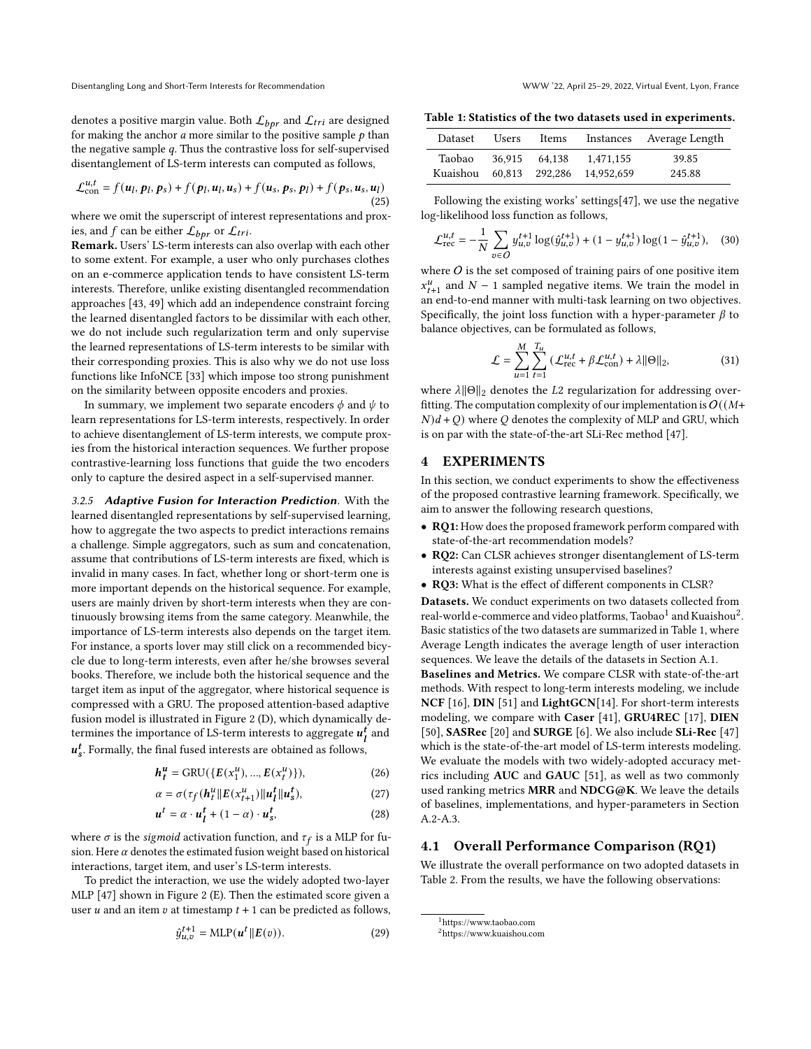denotes a positive margin value. Both  $\mathcal{L}_{bpr}$  and  $\mathcal{L}_{tri}$  are designed for making the anchor  $a$  more similar to the positive sample  $p$  than the negative sample  $q$ . Thus the contrastive loss for self-supervised disentanglement of LS-term interests can computed as follows,

<span id="page-4-2"></span>
$$
\mathcal{L}_{con}^{u,t} = f(\boldsymbol{u}_l, \boldsymbol{p}_l, \boldsymbol{p}_s) + f(\boldsymbol{p}_l, \boldsymbol{u}_l, \boldsymbol{u}_s) + f(\boldsymbol{u}_s, \boldsymbol{p}_s, \boldsymbol{p}_l) + f(\boldsymbol{p}_s, \boldsymbol{u}_s, \boldsymbol{u}_l)
$$
\n(25)

where we omit the superscript of interest representations and proxies, and  $f$  can be either  $\mathcal{L}_{bpr}$  or  $\mathcal{L}_{tri}$ .

Remark. Users' LS-term interests can also overlap with each other to some extent. For example, a user who only purchases clothes on an e-commerce application tends to have consistent LS-term interests. Therefore, unlike existing disentangled recommendation approaches [\[43,](#page-8-18) [49\]](#page-9-3) which add an independence constraint forcing the learned disentangled factors to be dissimilar with each other, we do not include such regularization term and only supervise the learned representations of LS-term interests to be similar with their corresponding proxies. This is also why we do not use loss functions like InfoNCE [\[33\]](#page-8-19) which impose too strong punishment on the similarity between opposite encoders and proxies.

In summary, we implement two separate encoders  $\phi$  and  $\psi$  to learn representations for LS-term interests, respectively. In order to achieve disentanglement of LS-term interests, we compute proxies from the historical interaction sequences. We further propose contrastive-learning loss functions that guide the two encoders only to capture the desired aspect in a self-supervised manner.

3.2.5 Adaptive Fusion for Interaction Prediction. With the learned disentangled representations by self-supervised learning, how to aggregate the two aspects to predict interactions remains a challenge. Simple aggregators, such as sum and concatenation, assume that contributions of LS-term interests are fixed, which is invalid in many cases. In fact, whether long or short-term one is more important depends on the historical sequence. For example, users are mainly driven by short-term interests when they are continuously browsing items from the same category. Meanwhile, the importance of LS-term interests also depends on the target item. For instance, a sports lover may still click on a recommended bicycle due to long-term interests, even after he/she browses several books. Therefore, we include both the historical sequence and the target item as input of the aggregator, where historical sequence is compressed with a GRU. The proposed attention-based adaptive fusion model is illustrated in Figure [2](#page-2-1) (D), which dynamically determines the importance of LS-term interests to aggregate  $u_l^t$  and  $\pmb{u}^{\pmb{t}}_{\pmb{s}}$  . Formally, the final fused interests are obtained as follows,

$$
h_t^u = \text{GRU}(\{E(x_1^u), ..., E(x_t^u)\}),\tag{26}
$$

$$
\alpha = \sigma(\tau_f(\boldsymbol{h}_t^u || E(\boldsymbol{x}_{t+1}^u) || \boldsymbol{u}_t^t || \boldsymbol{u}_s^t),
$$
\n(27)

$$
u^t = \alpha \cdot u^t_1 + (1 - \alpha) \cdot u^t_s, \tag{28}
$$

where  $\sigma$  is the sigmoid activation function, and  $\tau_f$  is a MLP for fusion. Here  $\alpha$  denotes the estimated fusion weight based on historical interactions, target item, and user's LS-term interests.

To predict the interaction, we use the widely adopted two-layer MLP [\[47\]](#page-8-10) shown in Figure [2](#page-2-1) (E). Then the estimated score given a user  $u$  and an item  $v$  at timestamp  $t + 1$  can be predicted as follows,

$$
\hat{y}_{u,v}^{t+1} = \text{MLP}(\boldsymbol{u}^t || E(v)).
$$
\n(29)

<span id="page-4-1"></span>Table 1: Statistics of the two datasets used in experiments.

| <b>Dataset</b> | Users  | Items          |            | Instances Average Length |
|----------------|--------|----------------|------------|--------------------------|
| Taobao         | 36.915 | 64.138         | 1.471.155  | 39.85                    |
| Kuaishou       |        | 60.813 292.286 | 14.952.659 | 245.88                   |

Following the existing works' settings[\[47\]](#page-8-10), we use the negative log-likelihood loss function as follows,

$$
\mathcal{L}_{\text{rec}}^{u,t} = -\frac{1}{N} \sum_{v \in O} y_{u,v}^{t+1} \log(\hat{y}_{u,v}^{t+1}) + (1 - y_{u,v}^{t+1}) \log(1 - \hat{y}_{u,v}^{t+1}), \quad (30)
$$

where  $O$  is the set composed of training pairs of one positive item  $x_{t+1}^u$  and  $N-1$  sampled negative items. We train the model in an end-to-end manner with multi-task learning on two objectives. Specifically, the joint loss function with a hyper-parameter  $\beta$  to balance objectives, can be formulated as follows,

$$
\mathcal{L} = \sum_{u=1}^{M} \sum_{t=1}^{T_u} \left( \mathcal{L}_{\text{rec}}^{u,t} + \beta \mathcal{L}_{\text{con}}^{u,t} \right) + \lambda ||\Theta||_2, \tag{31}
$$

where  $\lambda ||\Theta||_2$  denotes the L2 regularization for addressing overfitting. The computation complexity of our implementation is  $O((M +$  $N(d+Q)$  where Q denotes the complexity of MLP and GRU, which is on par with the state-of-the-art SLi-Rec method [\[47\]](#page-8-10).

#### <span id="page-4-0"></span>4 EXPERIMENTS

In this section, we conduct experiments to show the effectiveness of the proposed contrastive learning framework. Specifically, we aim to answer the following research questions,

- RQ1: How does the proposed framework perform compared with state-of-the-art recommendation models?
- RQ2: Can CLSR achieves stronger disentanglement of LS-term interests against existing unsupervised baselines?
- RQ3: What is the effect of different components in CLSR?

Datasets. We conduct experiments on two datasets collected from real-world e-commerce and video platforms, Taobao $^1$  $^1$  and Kuaishou $^2$  $^2$ . Basic statistics of the two datasets are summarized in Table [1,](#page-4-1) where Average Length indicates the average length of user interaction sequences. We leave the details of the datasets in Section [A.1.](#page-10-0)

Baselines and Metrics. We compare CLSR with state-of-the-art methods. With respect to long-term interests modeling, we include NCF [\[16\]](#page-8-4), DIN [\[51\]](#page-9-0) and LightGCN[\[14\]](#page-8-20). For short-term interests modeling, we compare with Caser [\[41\]](#page-8-8), GRU4REC [\[17\]](#page-8-7), DIEN [\[50\]](#page-9-1), SASRec [\[20\]](#page-8-21) and SURGE [\[6\]](#page-8-22). We also include SLi-Rec [\[47\]](#page-8-10) which is the state-of-the-art model of LS-term interests modeling. We evaluate the models with two widely-adopted accuracy metrics including AUC and GAUC [\[51\]](#page-9-0), as well as two commonly used ranking metrics MRR and NDCG@K. We leave the details of baselines, implementations, and hyper-parameters in Section [A.2](#page-10-1)[-A.3.](#page-10-2)

### 4.1 Overall Performance Comparison (RQ1)

We illustrate the overall performance on two adopted datasets in Table [2.](#page-5-0) From the results, we have the following observations:

<sup>1</sup><https://www.taobao.com>

<sup>2</sup><https://www.kuaishou.com>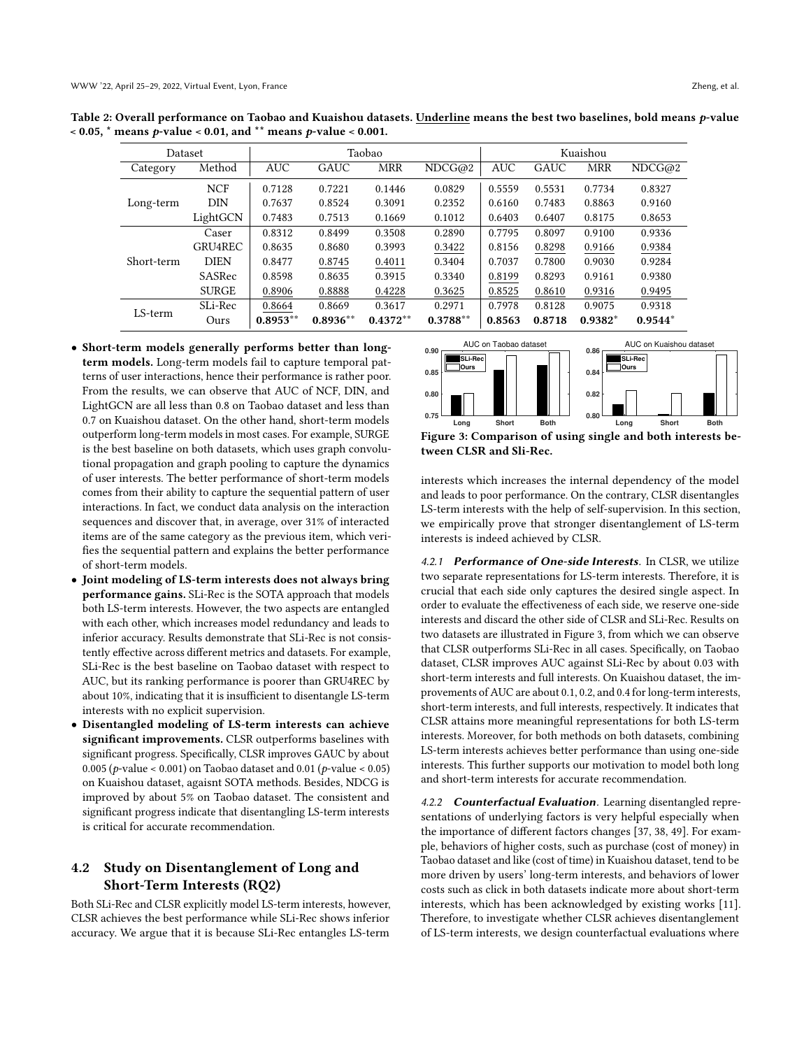| Dataset    |               | Taobao     |            |            |            | Kuaishou   |        |            |           |
|------------|---------------|------------|------------|------------|------------|------------|--------|------------|-----------|
| Category   | Method        | <b>AUC</b> | GAUC       | <b>MRR</b> | NDCG@2     | <b>AUC</b> | GAUC   | <b>MRR</b> | NDCG@2    |
|            | <b>NCF</b>    | 0.7128     | 0.7221     | 0.1446     | 0.0829     | 0.5559     | 0.5531 | 0.7734     | 0.8327    |
| Long-term  | <b>DIN</b>    | 0.7637     | 0.8524     | 0.3091     | 0.2352     | 0.6160     | 0.7483 | 0.8863     | 0.9160    |
|            | LightGCN      | 0.7483     | 0.7513     | 0.1669     | 0.1012     | 0.6403     | 0.6407 | 0.8175     | 0.8653    |
|            | Caser         | 0.8312     | 0.8499     | 0.3508     | 0.2890     | 0.7795     | 0.8097 | 0.9100     | 0.9336    |
|            | GRU4REC       | 0.8635     | 0.8680     | 0.3993     | 0.3422     | 0.8156     | 0.8298 | 0.9166     | 0.9384    |
| Short-term | <b>DIEN</b>   | 0.8477     | 0.8745     | 0.4011     | 0.3404     | 0.7037     | 0.7800 | 0.9030     | 0.9284    |
|            | <b>SASRec</b> | 0.8598     | 0.8635     | 0.3915     | 0.3340     | 0.8199     | 0.8293 | 0.9161     | 0.9380    |
|            | <b>SURGE</b>  | 0.8906     | 0.8888     | 0.4228     | 0.3625     | 0.8525     | 0.8610 | 0.9316     | 0.9495    |
| LS-term    | SLi-Rec       | 0.8664     | 0.8669     | 0.3617     | 0.2971     | 0.7978     | 0.8128 | 0.9075     | 0.9318    |
|            | Ours          | $0.8953**$ | $0.8936**$ | $0.4372**$ | $0.3788**$ | 0.8563     | 0.8718 | $0.9382*$  | $0.9544*$ |

<span id="page-5-0"></span>Table 2: Overall performance on Taobao and Kuaishou datasets. Underline means the best two baselines, bold means p-value  $<$  0.05,  $*$  means p-value  $<$  0.01, and  $**$  means p-value  $<$  0.001.

- Short-term models generally performs better than longterm models. Long-term models fail to capture temporal patterns of user interactions, hence their performance is rather poor. From the results, we can observe that AUC of NCF, DIN, and LightGCN are all less than 0.8 on Taobao dataset and less than 0.7 on Kuaishou dataset. On the other hand, short-term models outperform long-term models in most cases. For example, SURGE is the best baseline on both datasets, which uses graph convolutional propagation and graph pooling to capture the dynamics of user interests. The better performance of short-term models comes from their ability to capture the sequential pattern of user interactions. In fact, we conduct data analysis on the interaction sequences and discover that, in average, over 31% of interacted items are of the same category as the previous item, which verifies the sequential pattern and explains the better performance of short-term models.
- Joint modeling of LS-term interests does not always bring performance gains. SLi-Rec is the SOTA approach that models both LS-term interests. However, the two aspects are entangled with each other, which increases model redundancy and leads to inferior accuracy. Results demonstrate that SLi-Rec is not consistently effective across different metrics and datasets. For example, SLi-Rec is the best baseline on Taobao dataset with respect to AUC, but its ranking performance is poorer than GRU4REC by about 10%, indicating that it is insufficient to disentangle LS-term interests with no explicit supervision.
- Disentangled modeling of LS-term interests can achieve significant improvements. CLSR outperforms baselines with significant progress. Specifically, CLSR improves GAUC by about 0.005 (*p*-value < 0.001) on Taobao dataset and 0.01 (*p*-value < 0.05) on Kuaishou dataset, agaisnt SOTA methods. Besides, NDCG is improved by about 5% on Taobao dataset. The consistent and significant progress indicate that disentangling LS-term interests is critical for accurate recommendation.

# 4.2 Study on Disentanglement of Long and Short-Term Interests (RQ2)

Both SLi-Rec and CLSR explicitly model LS-term interests, however, CLSR achieves the best performance while SLi-Rec shows inferior accuracy. We argue that it is because SLi-Rec entangles LS-term

<span id="page-5-1"></span>

Figure 3: Comparison of using single and both interests between CLSR and Sli-Rec.

interests which increases the internal dependency of the model and leads to poor performance. On the contrary, CLSR disentangles LS-term interests with the help of self-supervision. In this section, we empirically prove that stronger disentanglement of LS-term interests is indeed achieved by CLSR.

4.2.1 Performance of One-side Interests. In CLSR, we utilize two separate representations for LS-term interests. Therefore, it is crucial that each side only captures the desired single aspect. In order to evaluate the effectiveness of each side, we reserve one-side interests and discard the other side of CLSR and SLi-Rec. Results on two datasets are illustrated in Figure [3,](#page-5-1) from which we can observe that CLSR outperforms SLi-Rec in all cases. Specifically, on Taobao dataset, CLSR improves AUC against SLi-Rec by about 0.03 with short-term interests and full interests. On Kuaishou dataset, the improvements of AUC are about 0.1, 0.2, and 0.4 for long-term interests, short-term interests, and full interests, respectively. It indicates that CLSR attains more meaningful representations for both LS-term interests. Moreover, for both methods on both datasets, combining LS-term interests achieves better performance than using one-side interests. This further supports our motivation to model both long and short-term interests for accurate recommendation.

4.2.2 **Counterfactual Evaluation**. Learning disentangled representations of underlying factors is very helpful especially when the importance of different factors changes [\[37,](#page-8-23) [38,](#page-8-24) [49\]](#page-9-3). For example, behaviors of higher costs, such as purchase (cost of money) in Taobao dataset and like (cost of time) in Kuaishou dataset, tend to be more driven by users' long-term interests, and behaviors of lower costs such as click in both datasets indicate more about short-term interests, which has been acknowledged by existing works [\[11\]](#page-8-25). Therefore, to investigate whether CLSR achieves disentanglement of LS-term interests, we design counterfactual evaluations where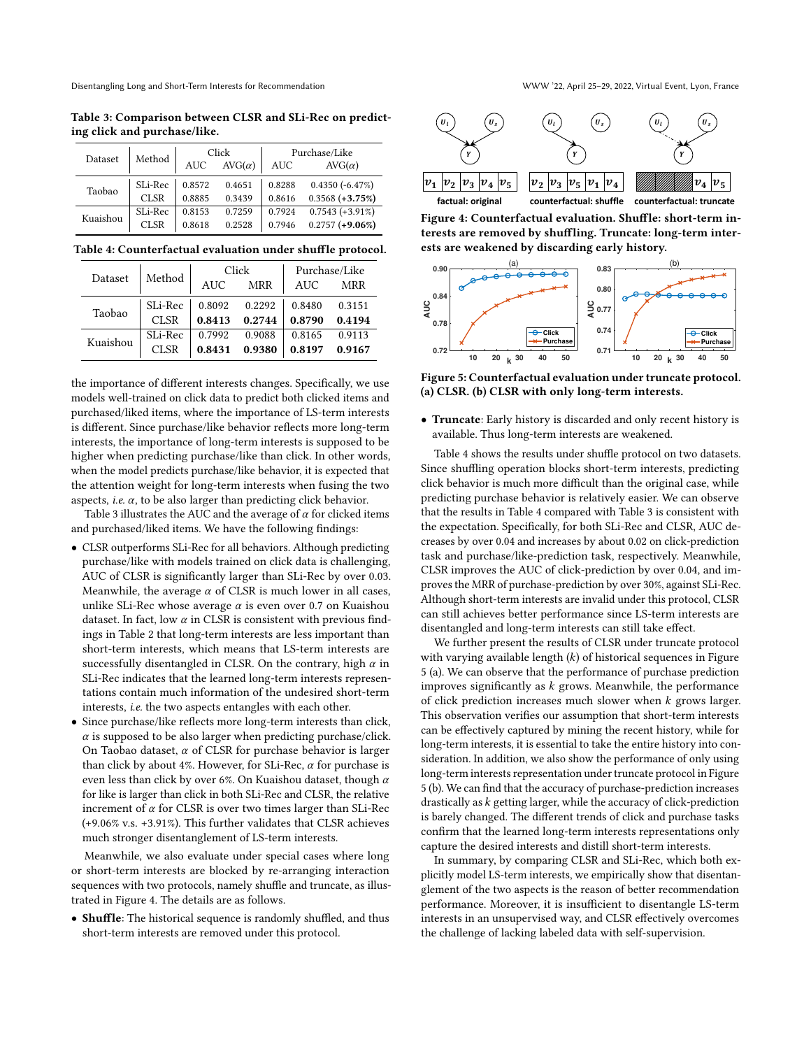<span id="page-6-0"></span>Table 3: Comparison between CLSR and SLi-Rec on predicting click and purchase/like.

|          | Method      |            | Click         | Purchase/Like |                    |  |
|----------|-------------|------------|---------------|---------------|--------------------|--|
| Dataset  |             | <b>AUC</b> | $AVG(\alpha)$ | <b>AUC</b>    | $AVG(\alpha)$      |  |
| Taobao   | SLi-Rec     | 0.8572     | 0.4651        | 0.8288        | $0.4350(-6.47\%)$  |  |
|          | <b>CLSR</b> | 0.8885     | 0.3439        | 0.8616        | $0.3568 (+3.75\%)$ |  |
| Kuaishou | SLi-Rec     | 0.8153     | 0.7259        | 0.7924        | $0.7543 (+3.91\%)$ |  |
|          | <b>CLSR</b> | 0.8618     | 0.2528        | 0.7946        | $0.2757 (+9.06%)$  |  |

<span id="page-6-2"></span>Table 4: Counterfactual evaluation under shuffle protocol.

| Dataset  | Method      |            | Click      | Purchase/Like |            |  |
|----------|-------------|------------|------------|---------------|------------|--|
|          |             | <b>AUC</b> | <b>MRR</b> | AUC           | <b>MRR</b> |  |
| Taobao   | SLi-Rec     | 0.8092     | 0.2292     | 0.8480        | 0.3151     |  |
|          | CLSR        | 0.8413     | 0.2744     | 0.8790        | 0.4194     |  |
| Kuaishou | SLi-Rec     | 0.7992     | 0.9088     | 0.8165        | 0.9113     |  |
|          | <b>CLSR</b> | 0.8431     | 0.9380     | 0.8197        | 0.9167     |  |

the importance of different interests changes. Specifically, we use models well-trained on click data to predict both clicked items and purchased/liked items, where the importance of LS-term interests is different. Since purchase/like behavior reflects more long-term interests, the importance of long-term interests is supposed to be higher when predicting purchase/like than click. In other words, when the model predicts purchase/like behavior, it is expected that the attention weight for long-term interests when fusing the two aspects, *i.e.*  $\alpha$ , to be also larger than predicting click behavior.

Table [3](#page-6-0) illustrates the AUC and the average of  $\alpha$  for clicked items and purchased/liked items. We have the following findings:

- CLSR outperforms SLi-Rec for all behaviors. Although predicting purchase/like with models trained on click data is challenging, AUC of CLSR is significantly larger than SLi-Rec by over 0.03. Meanwhile, the average  $\alpha$  of CLSR is much lower in all cases, unlike SLi-Rec whose average  $\alpha$  is even over 0.7 on Kuaishou dataset. In fact, low  $\alpha$  in CLSR is consistent with previous findings in Table [2](#page-5-0) that long-term interests are less important than short-term interests, which means that LS-term interests are successfully disentangled in CLSR. On the contrary, high  $\alpha$  in SLi-Rec indicates that the learned long-term interests representations contain much information of the undesired short-term interests, i.e. the two aspects entangles with each other.
- Since purchase/like reflects more long-term interests than click,  $\alpha$  is supposed to be also larger when predicting purchase/click. On Taobao dataset,  $\alpha$  of CLSR for purchase behavior is larger than click by about 4%. However, for SLi-Rec,  $\alpha$  for purchase is even less than click by over 6%. On Kuaishou dataset, though  $\alpha$ for like is larger than click in both SLi-Rec and CLSR, the relative increment of  $\alpha$  for CLSR is over two times larger than SLi-Rec (+9.06% v.s. +3.91%). This further validates that CLSR achieves much stronger disentanglement of LS-term interests.

Meanwhile, we also evaluate under special cases where long or short-term interests are blocked by re-arranging interaction sequences with two protocols, namely shuffle and truncate, as illustrated in Figure [4.](#page-6-1) The details are as follows.

• Shuffle: The historical sequence is randomly shuffled, and thus short-term interests are removed under this protocol.

<span id="page-6-1"></span>

Figure 4: Counterfactual evaluation. Shuffle: short-term interests are removed by shuffling. Truncate: long-term interests are weakened by discarding early history.

<span id="page-6-3"></span>

Figure 5: Counterfactual evaluation under truncate protocol. (a) CLSR. (b) CLSR with only long-term interests.

• Truncate: Early history is discarded and only recent history is available. Thus long-term interests are weakened.

Table [4](#page-6-2) shows the results under shuffle protocol on two datasets. Since shuffling operation blocks short-term interests, predicting click behavior is much more difficult than the original case, while predicting purchase behavior is relatively easier. We can observe that the results in Table [4](#page-6-2) compared with Table [3](#page-6-0) is consistent with the expectation. Specifically, for both SLi-Rec and CLSR, AUC decreases by over 0.04 and increases by about 0.02 on click-prediction task and purchase/like-prediction task, respectively. Meanwhile, CLSR improves the AUC of click-prediction by over 0.04, and improves the MRR of purchase-prediction by over 30%, against SLi-Rec. Although short-term interests are invalid under this protocol, CLSR can still achieves better performance since LS-term interests are disentangled and long-term interests can still take effect.

We further present the results of CLSR under truncate protocol with varying available length  $(k)$  of historical sequences in Figure [5](#page-6-3) (a). We can observe that the performance of purchase prediction improves significantly as  $k$  grows. Meanwhile, the performance of click prediction increases much slower when  $k$  grows larger. This observation verifies our assumption that short-term interests can be effectively captured by mining the recent history, while for long-term interests, it is essential to take the entire history into consideration. In addition, we also show the performance of only using long-term interests representation under truncate protocol in Figure [5](#page-6-3) (b). We can find that the accuracy of purchase-prediction increases drastically as  $k$  getting larger, while the accuracy of click-prediction is barely changed. The different trends of click and purchase tasks confirm that the learned long-term interests representations only capture the desired interests and distill short-term interests.

In summary, by comparing CLSR and SLi-Rec, which both explicitly model LS-term interests, we empirically show that disentanglement of the two aspects is the reason of better recommendation performance. Moreover, it is insufficient to disentangle LS-term interests in an unsupervised way, and CLSR effectively overcomes the challenge of lacking labeled data with self-supervision.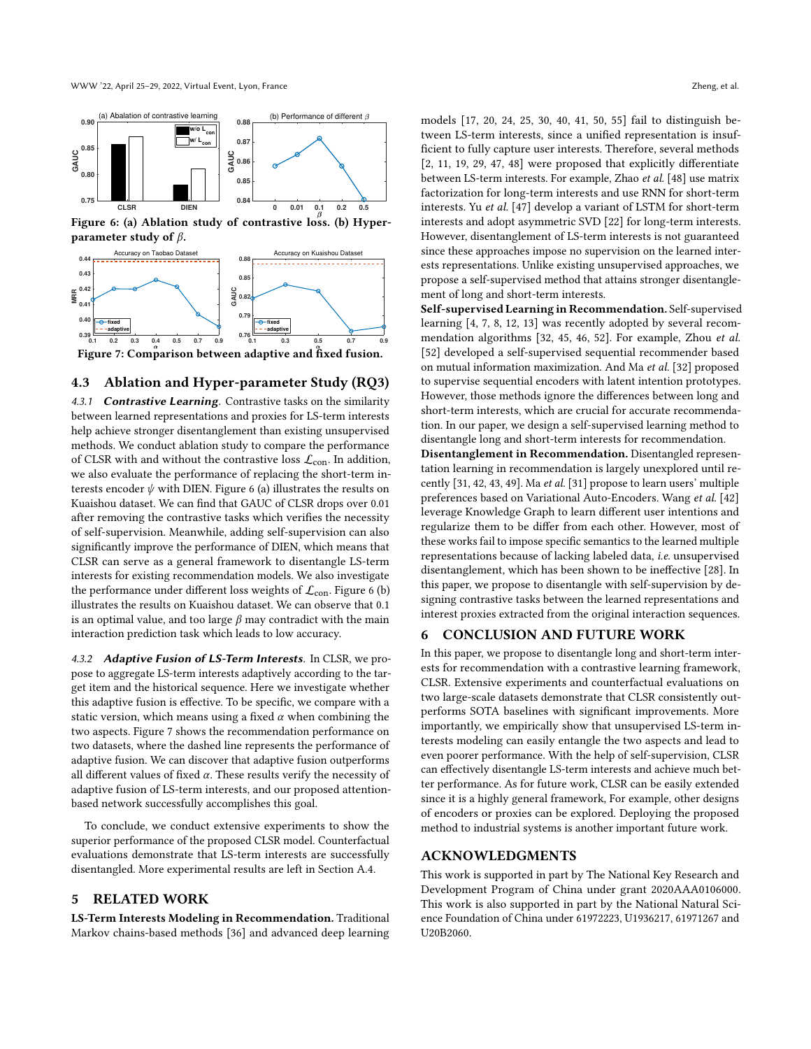<span id="page-7-2"></span>

Figure 6: (a) Ablation study of contrastive loss. (b) Hyperparameter study of  $\beta$ .

<span id="page-7-3"></span>

Figure 7: Comparison between adaptive and fixed fusion.

### 4.3 Ablation and Hyper-parameter Study (RQ3)

4.3.1 **Contrastive Learning**. Contrastive tasks on the similarity between learned representations and proxies for LS-term interests help achieve stronger disentanglement than existing unsupervised methods. We conduct ablation study to compare the performance of CLSR with and without the contrastive loss  $\mathcal{L}_{con}$ . In addition, we also evaluate the performance of replacing the short-term interests encoder  $\psi$  with DIEN. Figure [6](#page-7-2) (a) illustrates the results on Kuaishou dataset. We can find that GAUC of CLSR drops over 0.01 after removing the contrastive tasks which verifies the necessity of self-supervision. Meanwhile, adding self-supervision can also significantly improve the performance of DIEN, which means that CLSR can serve as a general framework to disentangle LS-term interests for existing recommendation models. We also investigate the performance under different loss weights of  $\mathcal{L}_{con}$ . Figure [6](#page-7-2) (b) illustrates the results on Kuaishou dataset. We can observe that 0.1 is an optimal value, and too large  $\beta$  may contradict with the main interaction prediction task which leads to low accuracy.

4.3.2 Adaptive Fusion of LS-Term Interests. In CLSR, we propose to aggregate LS-term interests adaptively according to the target item and the historical sequence. Here we investigate whether this adaptive fusion is effective. To be specific, we compare with a static version, which means using a fixed  $\alpha$  when combining the two aspects. Figure [7](#page-7-3) shows the recommendation performance on two datasets, where the dashed line represents the performance of adaptive fusion. We can discover that adaptive fusion outperforms all different values of fixed  $\alpha$ . These results verify the necessity of adaptive fusion of LS-term interests, and our proposed attentionbased network successfully accomplishes this goal.

To conclude, we conduct extensive experiments to show the superior performance of the proposed CLSR model. Counterfactual evaluations demonstrate that LS-term interests are successfully disentangled. More experimental results are left in Section [A.4.](#page-10-3)

### <span id="page-7-0"></span>5 RELATED WORK

LS-Term Interests Modeling in Recommendation. Traditional Markov chains-based methods [\[36\]](#page-8-26) and advanced deep learning models [\[17,](#page-8-7) [20,](#page-8-21) [24,](#page-8-27) [25,](#page-8-28) [30,](#page-8-29) [40,](#page-8-30) [41,](#page-8-8) [50,](#page-9-1) [55\]](#page-9-2) fail to distinguish between LS-term interests, since a unified representation is insufficient to fully capture user interests. Therefore, several methods [\[2,](#page-8-0) [11,](#page-8-25) [19,](#page-8-31) [29,](#page-8-9) [47,](#page-8-10) [48\]](#page-8-11) were proposed that explicitly differentiate between LS-term interests. For example, Zhao et al. [\[48\]](#page-8-11) use matrix factorization for long-term interests and use RNN for short-term interests. Yu et al. [\[47\]](#page-8-10) develop a variant of LSTM for short-term interests and adopt asymmetric SVD [\[22\]](#page-8-32) for long-term interests. However, disentanglement of LS-term interests is not guaranteed since these approaches impose no supervision on the learned interests representations. Unlike existing unsupervised approaches, we propose a self-supervised method that attains stronger disentanglement of long and short-term interests.

Self-supervised Learning in Recommendation. Self-supervised learning [\[4,](#page-8-33) [7,](#page-8-13) [8,](#page-8-34) [12,](#page-8-35) [13\]](#page-8-36) was recently adopted by several recommendation algorithms [\[32,](#page-8-37) [45,](#page-8-38) [46,](#page-8-39) [52\]](#page-9-4). For example, Zhou et al. [\[52\]](#page-9-4) developed a self-supervised sequential recommender based on mutual information maximization. And Ma et al. [\[32\]](#page-8-37) proposed to supervise sequential encoders with latent intention prototypes. However, those methods ignore the differences between long and short-term interests, which are crucial for accurate recommendation. In our paper, we design a self-supervised learning method to disentangle long and short-term interests for recommendation.

Disentanglement in Recommendation. Disentangled representation learning in recommendation is largely unexplored until recently [\[31,](#page-8-40) [42,](#page-8-41) [43,](#page-8-18) [49\]](#page-9-3). Ma et al. [\[31\]](#page-8-40) propose to learn users' multiple preferences based on Variational Auto-Encoders. Wang et al. [\[42\]](#page-8-41) leverage Knowledge Graph to learn different user intentions and regularize them to be differ from each other. However, most of these works fail to impose specific semantics to the learned multiple representations because of lacking labeled data, i.e. unsupervised disentanglement, which has been shown to be ineffective [\[28\]](#page-8-12). In this paper, we propose to disentangle with self-supervision by designing contrastive tasks between the learned representations and interest proxies extracted from the original interaction sequences.

# <span id="page-7-1"></span>6 CONCLUSION AND FUTURE WORK

In this paper, we propose to disentangle long and short-term interests for recommendation with a contrastive learning framework, CLSR. Extensive experiments and counterfactual evaluations on two large-scale datasets demonstrate that CLSR consistently outperforms SOTA baselines with significant improvements. More importantly, we empirically show that unsupervised LS-term interests modeling can easily entangle the two aspects and lead to even poorer performance. With the help of self-supervision, CLSR can effectively disentangle LS-term interests and achieve much better performance. As for future work, CLSR can be easily extended since it is a highly general framework, For example, other designs of encoders or proxies can be explored. Deploying the proposed method to industrial systems is another important future work.

### ACKNOWLEDGMENTS

This work is supported in part by The National Key Research and Development Program of China under grant 2020AAA0106000. This work is also supported in part by the National Natural Science Foundation of China under 61972223, U1936217, 61971267 and U20B2060.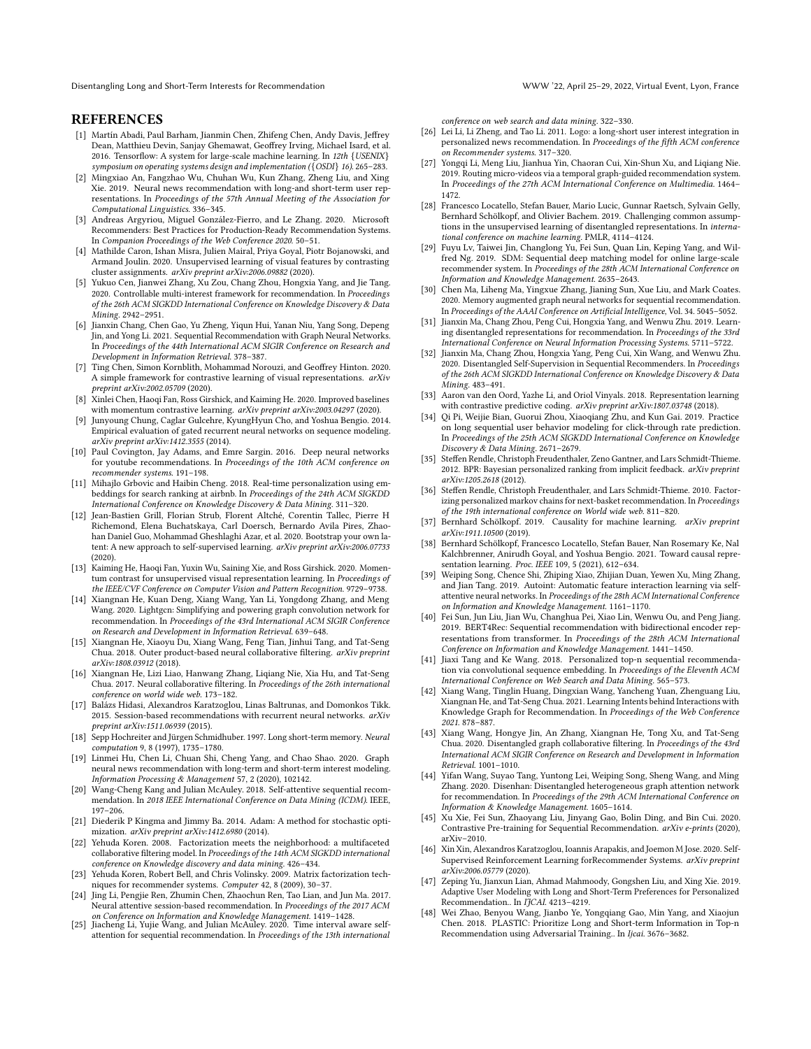### **REFERENCES**

- <span id="page-8-44"></span>[1] Martín Abadi, Paul Barham, Jianmin Chen, Zhifeng Chen, Andy Davis, Jeffrey Dean, Matthieu Devin, Sanjay Ghemawat, Geoffrey Irving, Michael Isard, et al. 2016. Tensorflow: A system for large-scale machine learning. In 12th {USENIX} symposium on operating systems design and implementation ({OSDI} 16). 265–283.
- <span id="page-8-0"></span>[2] Mingxiao An, Fangzhao Wu, Chuhan Wu, Kun Zhang, Zheng Liu, and Xing Xie. 2019. Neural news recommendation with long-and short-term user representations. In Proceedings of the 57th Annual Meeting of the Association for Computational Linguistics. 336–345.
- <span id="page-8-43"></span>[3] Andreas Argyriou, Miguel González-Fierro, and Le Zhang. 2020. Microsoft Recommenders: Best Practices for Production-Ready Recommendation Systems. In Companion Proceedings of the Web Conference 2020. 50–51.
- <span id="page-8-33"></span>[4] Mathilde Caron, Ishan Misra, Julien Mairal, Priya Goyal, Piotr Bojanowski, and Armand Joulin. 2020. Unsupervised learning of visual features by contrasting cluster assignments. arXiv preprint arXiv:2006.09882 (2020).
- <span id="page-8-46"></span>[5] Yukuo Cen, Jianwei Zhang, Xu Zou, Chang Zhou, Hongxia Yang, and Jie Tang. 2020. Controllable multi-interest framework for recommendation. In Proceedings of the 26th ACM SIGKDD International Conference on Knowledge Discovery & Data Mining. 2942–2951.
- <span id="page-8-22"></span>[6] Jianxin Chang, Chen Gao, Yu Zheng, Yiqun Hui, Yanan Niu, Yang Song, Depeng Jin, and Yong Li. 2021. Sequential Recommendation with Graph Neural Networks. In Proceedings of the 44th International ACM SIGIR Conference on Research and Development in Information Retrieval. 378–387.
- <span id="page-8-13"></span>[7] Ting Chen, Simon Kornblith, Mohammad Norouzi, and Geoffrey Hinton. 2020. A simple framework for contrastive learning of visual representations. arXiv preprint arXiv:2002.05709 (2020).
- <span id="page-8-34"></span>[8] Xinlei Chen, Haoqi Fan, Ross Girshick, and Kaiming He. 2020. Improved baselines with momentum contrastive learning. arXiv preprint arXiv:2003.04297 (2020).
- <span id="page-8-15"></span>[9] Junyoung Chung, Caglar Gulcehre, KyungHyun Cho, and Yoshua Bengio. 2014. Empirical evaluation of gated recurrent neural networks on sequence modeling. arXiv preprint arXiv:1412.3555 (2014).
- <span id="page-8-1"></span>[10] Paul Covington, Jay Adams, and Emre Sargin. 2016. Deep neural networks for youtube recommendations. In Proceedings of the 10th ACM conference on recommender systems. 191–198.
- <span id="page-8-25"></span>[11] Mihajlo Grbovic and Haibin Cheng. 2018. Real-time personalization using embeddings for search ranking at airbnb. In *Proceedings of the 24th ACM SIGKDD* International Conference on Knowledge Discovery & Data Mining. 311–320.
- <span id="page-8-35"></span>[12] Jean-Bastien Grill, Florian Strub, Florent Altché, Corentin Tallec, Pierre H Richemond, Elena Buchatskaya, Carl Doersch, Bernardo Avila Pires, Zhaohan Daniel Guo, Mohammad Gheshlaghi Azar, et al. 2020. Bootstrap your own latent: A new approach to self-supervised learning. arXiv preprint arXiv:2006.07733 (2020).
- <span id="page-8-36"></span>[13] Kaiming He, Haoqi Fan, Yuxin Wu, Saining Xie, and Ross Girshick. 2020. Momentum contrast for unsupervised visual representation learning. In Proceedings of the IEEE/CVF Conference on Computer Vision and Pattern Recognition. 9729–9738.
- <span id="page-8-20"></span>[14] Xiangnan He, Kuan Deng, Xiang Wang, Yan Li, Yongdong Zhang, and Meng Wang. 2020. Lightgcn: Simplifying and powering graph convolution network for recommendation. In Proceedings of the 43rd International ACM SIGIR Conference on Research and Development in Information Retrieval. 639–648.
- <span id="page-8-3"></span>[15] Xiangnan He, Xiaoyu Du, Xiang Wang, Feng Tian, Jinhui Tang, and Tat-Seng Chua. 2018. Outer product-based neural collaborative filtering. arXiv preprint arXiv:1808.03912 (2018).
- <span id="page-8-4"></span>[16] Xiangnan He, Lizi Liao, Hanwang Zhang, Liqiang Nie, Xia Hu, and Tat-Seng Chua. 2017. Neural collaborative filtering. In Proceedings of the 26th international conference on world wide web. 173–182.
- <span id="page-8-7"></span>[17] Balázs Hidasi, Alexandros Karatzoglou, Linas Baltrunas, and Domonkos Tikk. 2015. Session-based recommendations with recurrent neural networks.  $arXiv$ preprint arXiv:1511.06939 (2015).
- <span id="page-8-16"></span>[18] Sepp Hochreiter and Jürgen Schmidhuber. 1997. Long short-term memory. Neural computation 9, 8 (1997), 1735–1780.
- <span id="page-8-31"></span>[19] Linmei Hu, Chen Li, Chuan Shi, Cheng Yang, and Chao Shao. 2020. Graph neural news recommendation with long-term and short-term interest modeling. Information Processing & Management 57, 2 (2020), 102142.
- <span id="page-8-21"></span>[20] Wang-Cheng Kang and Julian McAuley. 2018. Self-attentive sequential recommendation. In 2018 IEEE International Conference on Data Mining (ICDM). IEEE, 197–206.
- <span id="page-8-45"></span>[21] Diederik P Kingma and Jimmy Ba. 2014. Adam: A method for stochastic optimization. arXiv preprint arXiv:1412.6980 (2014).
- <span id="page-8-32"></span>[22] Yehuda Koren. 2008. Factorization meets the neighborhood: a multifaceted collaborative filtering model. In Proceedings of the 14th ACM SIGKDD international conference on Knowledge discovery and data mining. 426–434.
- <span id="page-8-5"></span>[23] Yehuda Koren, Robert Bell, and Chris Volinsky. 2009. Matrix factorization techniques for recommender systems. Computer 42, 8 (2009), 30–37.
- <span id="page-8-27"></span>[24] Jing Li, Pengjie Ren, Zhumin Chen, Zhaochun Ren, Tao Lian, and Jun Ma. 2017. Neural attentive session-based recommendation. In Proceedings of the 2017 ACM
- <span id="page-8-28"></span>on Conference on Information and Knowledge Management. 1419–1428. [25] Jiacheng Li, Yujie Wang, and Julian McAuley. 2020. Time interval aware selfattention for sequential recommendation. In Proceedings of the 13th international

conference on web search and data mining. 322–330.

- <span id="page-8-17"></span>[26] Lei Li, Li Zheng, and Tao Li. 2011. Logo: a long-short user interest integration in personalized news recommendation. In Proceedings of the fifth ACM conference on Recommender systems. 317–320.
- <span id="page-8-2"></span>[27] Yongqi Li, Meng Liu, Jianhua Yin, Chaoran Cui, Xin-Shun Xu, and Liqiang Nie. 2019. Routing micro-videos via a temporal graph-guided recommendation system. In Proceedings of the 27th ACM International Conference on Multimedia. 1464– 1472.
- <span id="page-8-12"></span>[28] Francesco Locatello, Stefan Bauer, Mario Lucic, Gunnar Raetsch, Sylvain Gelly, Bernhard Schölkopf, and Olivier Bachem. 2019. Challenging common assumptions in the unsupervised learning of disentangled representations. In international conference on machine learning. PMLR, 4114–4124.
- <span id="page-8-9"></span>[29] Fuyu Lv, Taiwei Jin, Changlong Yu, Fei Sun, Quan Lin, Keping Yang, and Wilfred Ng. 2019. SDM: Sequential deep matching model for online large-scale recommender system. In Proceedings of the 28th ACM International Conference on Information and Knowledge Management. 2635–2643.
- <span id="page-8-29"></span>[30] Chen Ma, Liheng Ma, Yingxue Zhang, Jianing Sun, Xue Liu, and Mark Coates. 2020. Memory augmented graph neural networks for sequential recommendation. In Proceedings of the AAAI Conference on Artificial Intelligence, Vol. 34. 5045–5052.
- <span id="page-8-40"></span>[31] Jianxin Ma, Chang Zhou, Peng Cui, Hongxia Yang, and Wenwu Zhu. 2019. Learning disentangled representations for recommendation. In Proceedings of the 33rd International Conference on Neural Information Processing Systems. 5711–5722.
- <span id="page-8-37"></span>[32] Jianxin Ma, Chang Zhou, Hongxia Yang, Peng Cui, Xin Wang, and Wenwu Zhu. 2020. Disentangled Self-Supervision in Sequential Recommenders. In Proceedings of the 26th ACM SIGKDD International Conference on Knowledge Discovery & Data Mining. 483–491.
- <span id="page-8-19"></span>[33] Aaron van den Oord, Yazhe Li, and Oriol Vinyals. 2018. Representation learning with contrastive predictive coding. arXiv preprint arXiv:1807.03748 (2018).
- <span id="page-8-42"></span>[34] Qi Pi, Weijie Bian, Guorui Zhou, Xiaoqiang Zhu, and Kun Gai. 2019. Practice on long sequential user behavior modeling for click-through rate prediction. In Proceedings of the 25th ACM SIGKDD International Conference on Knowledge Discovery & Data Mining. 2671–2679.
- <span id="page-8-6"></span>[35] Steffen Rendle, Christoph Freudenthaler, Zeno Gantner, and Lars Schmidt-Thieme. 2012. BPR: Bayesian personalized ranking from implicit feedback. arXiv preprint arXiv:1205.2618 (2012).
- <span id="page-8-26"></span>[36] Steffen Rendle, Christoph Freudenthaler, and Lars Schmidt-Thieme. 2010. Factorizing personalized markov chains for next-basket recommendation. In Proceedings of the 19th international conference on World wide web. 811–820.
- <span id="page-8-23"></span>[37] Bernhard Schölkopf. 2019. Causality for machine learning. arXiv preprint arXiv:1911.10500 (2019).
- <span id="page-8-24"></span>[38] Bernhard Schölkopf, Francesco Locatello, Stefan Bauer, Nan Rosemary Ke, Nal Kalchbrenner, Anirudh Goyal, and Yoshua Bengio. 2021. Toward causal representation learning. Proc. IEEE 109, 5 (2021), 612–634.
- <span id="page-8-14"></span>[39] Weiping Song, Chence Shi, Zhiping Xiao, Zhijian Duan, Yewen Xu, Ming Zhang, and Jian Tang. 2019. Autoint: Automatic feature interaction learning via selfattentive neural networks. In Proceedings of the 28th ACM International Conference on Information and Knowledge Management. 1161–1170.
- <span id="page-8-30"></span>[40] Fei Sun, Jun Liu, Jian Wu, Changhua Pei, Xiao Lin, Wenwu Ou, and Peng Jiang. 2019. BERT4Rec: Sequential recommendation with bidirectional encoder representations from transformer. In Proceedings of the 28th ACM International Conference on Information and Knowledge Management. 1441–1450.
- <span id="page-8-8"></span>[41] Jiaxi Tang and Ke Wang. 2018. Personalized top-n sequential recommendation via convolutional sequence embedding. In Proceedings of the Eleventh ACM International Conference on Web Search and Data Mining. 565–573.
- <span id="page-8-41"></span>[42] Xiang Wang, Tinglin Huang, Dingxian Wang, Yancheng Yuan, Zhenguang Liu, Xiangnan He, and Tat-Seng Chua. 2021. Learning Intents behind Interactions with Knowledge Graph for Recommendation. In Proceedings of the Web Conference 2021. 878–887.
- <span id="page-8-18"></span>[43] Xiang Wang, Hongye Jin, An Zhang, Xiangnan He, Tong Xu, and Tat-Seng Chua. 2020. Disentangled graph collaborative filtering. In Proceedings of the 43rd International ACM SIGIR Conference on Research and Development in Information Retrieval. 1001–1010.
- <span id="page-8-47"></span>[44] Yifan Wang, Suyao Tang, Yuntong Lei, Weiping Song, Sheng Wang, and Ming Zhang. 2020. Disenhan: Disentangled heterogeneous graph attention network for recommendation. In Proceedings of the 29th ACM International Conference on Information & Knowledge Management. 1605–1614.
- <span id="page-8-38"></span>[45] Xu Xie, Fei Sun, Zhaoyang Liu, Jinyang Gao, Bolin Ding, and Bin Cui. 2020. Contrastive Pre-training for Sequential Recommendation. arXiv e-prints (2020), arXiv–2010.
- <span id="page-8-39"></span>[46] Xin Xin, Alexandros Karatzoglou, Ioannis Arapakis, and Joemon M Jose. 2020. Self-Supervised Reinforcement Learning forRecommender Systems. arXiv preprint arXiv:2006.05779 (2020).
- <span id="page-8-10"></span>[47] Zeping Yu, Jianxun Lian, Ahmad Mahmoody, Gongshen Liu, and Xing Xie. 2019. Adaptive User Modeling with Long and Short-Term Preferences for Personalized Recommendation.. In IJCAI. 4213-4219.
- <span id="page-8-11"></span>[48] Wei Zhao, Benyou Wang, Jianbo Ye, Yongqiang Gao, Min Yang, and Xiaojun Chen. 2018. PLASTIC: Prioritize Long and Short-term Information in Top-n Recommendation using Adversarial Training.. In Ijcai. 3676–3682.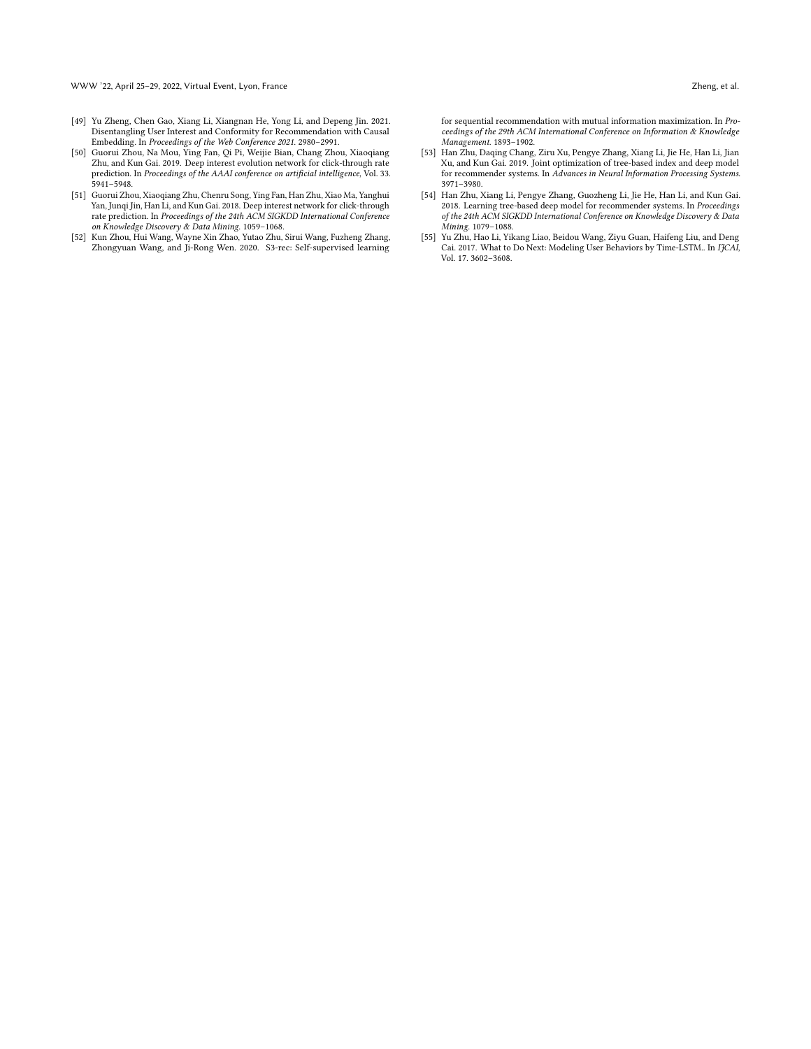- <span id="page-9-3"></span>[49] Yu Zheng, Chen Gao, Xiang Li, Xiangnan He, Yong Li, and Depeng Jin. 2021. Disentangling User Interest and Conformity for Recommendation with Causal Embedding. In Proceedings of the Web Conference 2021. 2980–2991.
- <span id="page-9-1"></span>[50] Guorui Zhou, Na Mou, Ying Fan, Qi Pi, Weijie Bian, Chang Zhou, Xiaoqiang Zhu, and Kun Gai. 2019. Deep interest evolution network for click-through rate prediction. In Proceedings of the AAAI conference on artificial intelligence, Vol. 33. 5941–5948.
- <span id="page-9-0"></span>[51] Guorui Zhou, Xiaoqiang Zhu, Chenru Song, Ying Fan, Han Zhu, Xiao Ma, Yanghui Yan, Junqi Jin, Han Li, and Kun Gai. 2018. Deep interest network for click-through rate prediction. In Proceedings of the 24th ACM SIGKDD International Conference on Knowledge Discovery & Data Mining. 1059–1068.
- <span id="page-9-4"></span>[52] Kun Zhou, Hui Wang, Wayne Xin Zhao, Yutao Zhu, Sirui Wang, Fuzheng Zhang, Zhongyuan Wang, and Ji-Rong Wen. 2020. S3-rec: Self-supervised learning

for sequential recommendation with mutual information maximization. In  $\mathit{Pro-}$ ceedings of the 29th ACM International Conference on Information & Knowledge Management. 1893–1902.

- <span id="page-9-6"></span>[53] Han Zhu, Daqing Chang, Ziru Xu, Pengye Zhang, Xiang Li, Jie He, Han Li, Jian Xu, and Kun Gai. 2019. Joint optimization of tree-based index and deep model for recommender systems. In Advances in Neural Information Processing Systems. 3971–3980.
- <span id="page-9-5"></span>[54] Han Zhu, Xiang Li, Pengye Zhang, Guozheng Li, Jie He, Han Li, and Kun Gai. 2018. Learning tree-based deep model for recommender systems. In Proceedings of the 24th ACM SIGKDD International Conference on Knowledge Discovery & Data Mining. 1079–1088.
- <span id="page-9-2"></span>[55] Yu Zhu, Hao Li, Yikang Liao, Beidou Wang, Ziyu Guan, Haifeng Liu, and Deng Cai. 2017. What to Do Next: Modeling User Behaviors by Time-LSTM.. In IJCAI, Vol. 17. 3602–3608.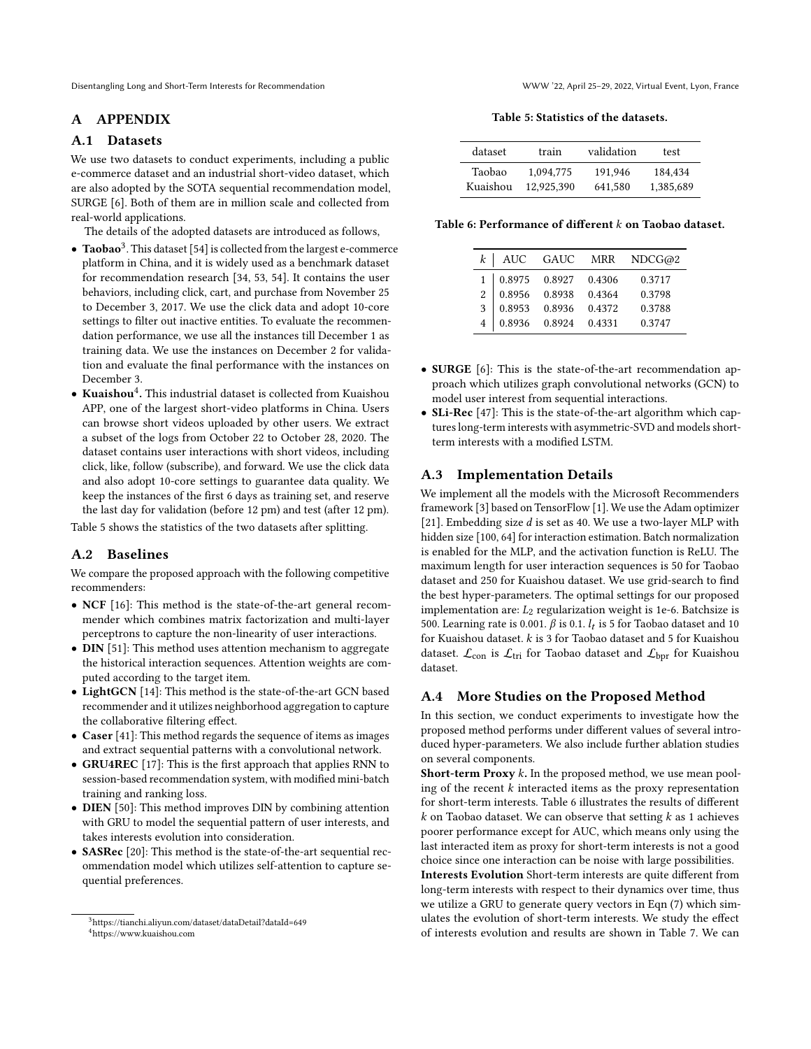# A APPENDIX

### <span id="page-10-0"></span>A.1 Datasets

We use two datasets to conduct experiments, including a public e-commerce dataset and an industrial short-video dataset, which are also adopted by the SOTA sequential recommendation model, SURGE [\[6\]](#page-8-22). Both of them are in million scale and collected from real-world applications.

The details of the adopted datasets are introduced as follows,

- $\bullet$  Taobao<sup>[3](#page-0-0)</sup>. This dataset [\[54\]](#page-9-5) is collected from the largest e-commerce platform in China, and it is widely used as a benchmark dataset for recommendation research [\[34,](#page-8-42) [53,](#page-9-6) [54\]](#page-9-5). It contains the user behaviors, including click, cart, and purchase from November 25 to December 3, 2017. We use the click data and adopt 10-core settings to filter out inactive entities. To evaluate the recommendation performance, we use all the instances till December 1 as training data. We use the instances on December 2 for validation and evaluate the final performance with the instances on December 3.
- Kuaishou<sup>[4](#page-0-0)</sup>. This industrial dataset is collected from Kuaishou APP, one of the largest short-video platforms in China. Users can browse short videos uploaded by other users. We extract a subset of the logs from October 22 to October 28, 2020. The dataset contains user interactions with short videos, including click, like, follow (subscribe), and forward. We use the click data and also adopt 10-core settings to guarantee data quality. We keep the instances of the first 6 days as training set, and reserve the last day for validation (before 12 pm) and test (after 12 pm).

Table [5](#page-10-4) shows the statistics of the two datasets after splitting.

# <span id="page-10-1"></span>A.2 Baselines

We compare the proposed approach with the following competitive recommenders:

- NCF [\[16\]](#page-8-4): This method is the state-of-the-art general recommender which combines matrix factorization and multi-layer perceptrons to capture the non-linearity of user interactions.
- DIN [\[51\]](#page-9-0): This method uses attention mechanism to aggregate the historical interaction sequences. Attention weights are computed according to the target item.
- LightGCN [\[14\]](#page-8-20): This method is the state-of-the-art GCN based recommender and it utilizes neighborhood aggregation to capture the collaborative filtering effect.
- Caser [\[41\]](#page-8-8): This method regards the sequence of items as images and extract sequential patterns with a convolutional network.
- GRU4REC [\[17\]](#page-8-7): This is the first approach that applies RNN to session-based recommendation system, with modified mini-batch training and ranking loss.
- DIEN [\[50\]](#page-9-1): This method improves DIN by combining attention with GRU to model the sequential pattern of user interests, and takes interests evolution into consideration.
- SASRec [\[20\]](#page-8-21): This method is the state-of-the-art sequential recommendation model which utilizes self-attention to capture sequential preferences.

Table 5: Statistics of the datasets.

<span id="page-10-4"></span>

| dataset  | train      | validation | test      |
|----------|------------|------------|-----------|
| Taobao   | 1.094.775  | 191.946    | 184.434   |
| Kuaishou | 12.925.390 | 641.580    | 1.385.689 |

<span id="page-10-5"></span>Table 6: Performance of different  $k$  on Taobao dataset.

|                   |                              |        | $k$ AUC GAUC MRR NDCG@2 |
|-------------------|------------------------------|--------|-------------------------|
|                   |                              |        |                         |
| 1   0.8975 0.8927 |                              | 0.4306 | 0.3717                  |
| 2   0.8956 0.8938 |                              | 0.4364 | 0.3798                  |
| 3   0.8953 0.8936 |                              | 0.4372 | 0.3788                  |
|                   | 4   0.8936   0.8924   0.4331 |        | 0.3747                  |

- SURGE [\[6\]](#page-8-22): This is the state-of-the-art recommendation approach which utilizes graph convolutional networks (GCN) to model user interest from sequential interactions.
- SLi-Rec [\[47\]](#page-8-10): This is the state-of-the-art algorithm which captures long-term interests with asymmetric-SVD and models shortterm interests with a modified LSTM.

# <span id="page-10-2"></span>A.3 Implementation Details

We implement all the models with the Microsoft Recommenders framework [\[3\]](#page-8-43) based on TensorFlow [\[1\]](#page-8-44). We use the Adam optimizer [\[21\]](#page-8-45). Embedding size  $d$  is set as 40. We use a two-layer MLP with hidden size [100, 64] for interaction estimation. Batch normalization is enabled for the MLP, and the activation function is ReLU. The maximum length for user interaction sequences is 50 for Taobao dataset and 250 for Kuaishou dataset. We use grid-search to find the best hyper-parameters. The optimal settings for our proposed implementation are:  $L_2$  regularization weight is 1e-6. Batchsize is 500. Learning rate is 0.001.  $\beta$  is 0.1.  $l_t$  is 5 for Taobao dataset and 10 for Kuaishou dataset.  $k$  is 3 for Taobao dataset and 5 for Kuaishou dataset.  $\mathcal{L}_{con}$  is  $\mathcal{L}_{tri}$  for Taobao dataset and  $\mathcal{L}_{bor}$  for Kuaishou dataset.

# <span id="page-10-3"></span>A.4 More Studies on the Proposed Method

In this section, we conduct experiments to investigate how the proposed method performs under different values of several introduced hyper-parameters. We also include further ablation studies on several components.

**Short-term Proxy**  $k$ . In the proposed method, we use mean pooling of the recent  $k$  interacted items as the proxy representation for short-term interests. Table [6](#page-10-5) illustrates the results of different  $k$  on Taobao dataset. We can observe that setting  $k$  as 1 achieves poorer performance except for AUC, which means only using the last interacted item as proxy for short-term interests is not a good choice since one interaction can be noise with large possibilities.

Interests Evolution Short-term interests are quite different from long-term interests with respect to their dynamics over time, thus we utilize a GRU to generate query vectors in Eqn [\(7\)](#page-2-2) which simulates the evolution of short-term interests. We study the effect of interests evolution and results are shown in Table [7.](#page-11-1) We can

<sup>3</sup><https://tianchi.aliyun.com/dataset/dataDetail?dataId=649> <sup>4</sup><https://www.kuaishou.com>